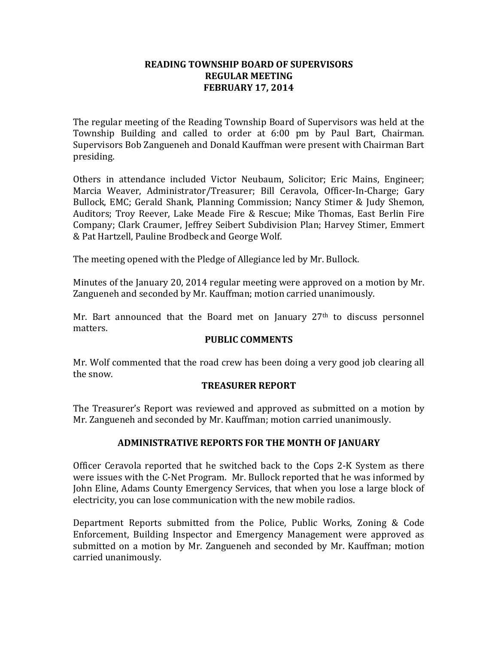#### **READING TOWNSHIP BOARD OF SUPERVISORS REGULAR MEETING FEBRUARY 17, 2014**

The regular meeting of the Reading Township Board of Supervisors was held at the Township Building and called to order at 6:00 pm by Paul Bart, Chairman. Supervisors Bob Zangueneh and Donald Kauffman were present with Chairman Bart presiding.

Others in attendance included Victor Neubaum, Solicitor; Eric Mains, Engineer; Marcia Weaver, Administrator/Treasurer; Bill Ceravola, Officer-In-Charge; Gary Bullock, EMC; Gerald Shank, Planning Commission; Nancy Stimer & Judy Shemon, Auditors; Troy Reever, Lake Meade Fire & Rescue; Mike Thomas, East Berlin Fire Company; Clark Craumer, Jeffrey Seibert Subdivision Plan; Harvey Stimer, Emmert & Pat Hartzell, Pauline Brodbeck and George Wolf.

The meeting opened with the Pledge of Allegiance led by Mr. Bullock.

Minutes of the January 20, 2014 regular meeting were approved on a motion by Mr. Zangueneh and seconded by Mr. Kauffman; motion carried unanimously.

Mr. Bart announced that the Board met on January 27<sup>th</sup> to discuss personnel matters.

#### **PUBLIC COMMENTS**

Mr. Wolf commented that the road crew has been doing a very good job clearing all the snow.

# **TREASURER REPORT**

The Treasurer's Report was reviewed and approved as submitted on a motion by Mr. Zangueneh and seconded by Mr. Kauffman; motion carried unanimously.

# **ADMINISTRATIVE REPORTS FOR THE MONTH OF JANUARY**

Officer Ceravola reported that he switched back to the Cops 2-K System as there were issues with the C-Net Program. Mr. Bullock reported that he was informed by John Eline, Adams County Emergency Services, that when you lose a large block of electricity, you can lose communication with the new mobile radios.

Department Reports submitted from the Police, Public Works, Zoning & Code Enforcement, Building Inspector and Emergency Management were approved as submitted on a motion by Mr. Zangueneh and seconded by Mr. Kauffman; motion carried unanimously.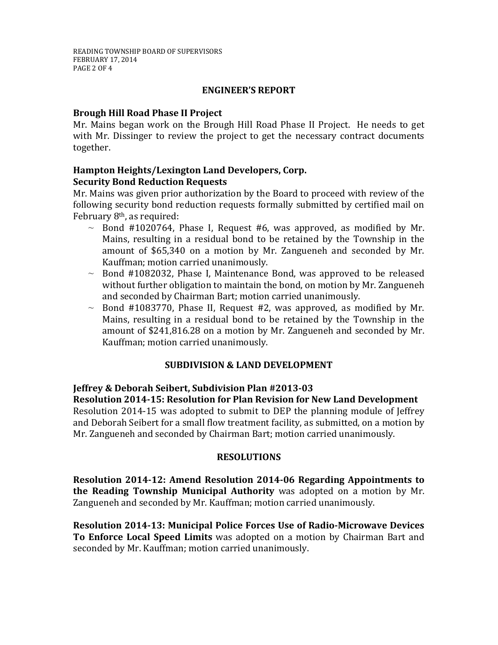# **ENGINEER'S REPORT**

# **Brough Hill Road Phase II Project**

Mr. Mains began work on the Brough Hill Road Phase II Project. He needs to get with Mr. Dissinger to review the project to get the necessary contract documents together.

# **Hampton Heights/Lexington Land Developers, Corp. Security Bond Reduction Requests**

Mr. Mains was given prior authorization by the Board to proceed with review of the following security bond reduction requests formally submitted by certified mail on February 8th, as required:

- $\sim$  Bond #1020764, Phase I, Request #6, was approved, as modified by Mr. Mains, resulting in a residual bond to be retained by the Township in the amount of \$65,340 on a motion by Mr. Zangueneh and seconded by Mr. Kauffman; motion carried unanimously.
- $\sim$  Bond #1082032, Phase I, Maintenance Bond, was approved to be released without further obligation to maintain the bond, on motion by Mr. Zangueneh and seconded by Chairman Bart; motion carried unanimously.
- $\sim$  Bond #1083770, Phase II, Request #2, was approved, as modified by Mr. Mains, resulting in a residual bond to be retained by the Township in the amount of \$241,816.28 on a motion by Mr. Zangueneh and seconded by Mr. Kauffman; motion carried unanimously.

# **SUBDIVISION & LAND DEVELOPMENT**

# **Jeffrey & Deborah Seibert, Subdivision Plan #2013-03**

**Resolution 2014-15: Resolution for Plan Revision for New Land Development**  Resolution 2014-15 was adopted to submit to DEP the planning module of Jeffrey and Deborah Seibert for a small flow treatment facility, as submitted, on a motion by

Mr. Zangueneh and seconded by Chairman Bart; motion carried unanimously.

# **RESOLUTIONS**

**Resolution 2014-12: Amend Resolution 2014-06 Regarding Appointments to the Reading Township Municipal Authority** was adopted on a motion by Mr. Zangueneh and seconded by Mr. Kauffman; motion carried unanimously.

**Resolution 2014-13: Municipal Police Forces Use of Radio-Microwave Devices To Enforce Local Speed Limits** was adopted on a motion by Chairman Bart and seconded by Mr. Kauffman; motion carried unanimously.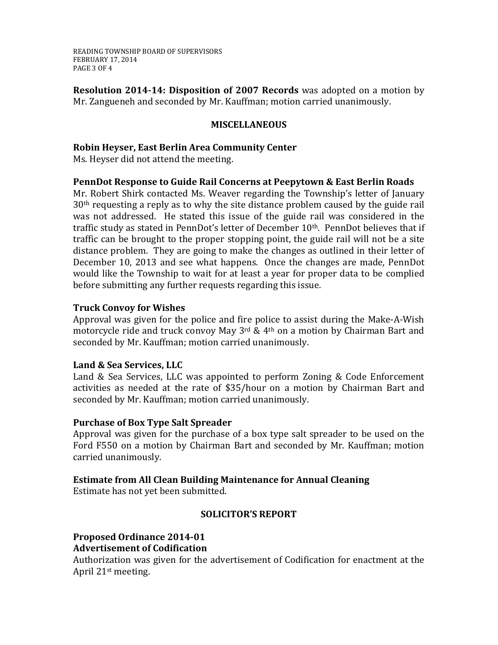READING TOWNSHIP BOARD OF SUPERVISORS FEBRUARY 17, 2014 PAGE 3 OF 4

**Resolution 2014-14: Disposition of 2007 Records** was adopted on a motion by Mr. Zangueneh and seconded by Mr. Kauffman; motion carried unanimously.

# **MISCELLANEOUS**

**Robin Heyser, East Berlin Area Community Center**

Ms. Heyser did not attend the meeting.

# **PennDot Response to Guide Rail Concerns at Peepytown & East Berlin Roads**

Mr. Robert Shirk contacted Ms. Weaver regarding the Township's letter of January 30th requesting a reply as to why the site distance problem caused by the guide rail was not addressed. He stated this issue of the guide rail was considered in the traffic study as stated in PennDot's letter of December 10<sup>th</sup>. PennDot believes that if traffic can be brought to the proper stopping point, the guide rail will not be a site distance problem. They are going to make the changes as outlined in their letter of December 10, 2013 and see what happens. Once the changes are made, PennDot would like the Township to wait for at least a year for proper data to be complied before submitting any further requests regarding this issue.

# **Truck Convoy for Wishes**

Approval was given for the police and fire police to assist during the Make-A-Wish motorcycle ride and truck convoy May 3<sup>rd</sup> & 4<sup>th</sup> on a motion by Chairman Bart and seconded by Mr. Kauffman; motion carried unanimously.

# **Land & Sea Services, LLC**

Land & Sea Services, LLC was appointed to perform Zoning & Code Enforcement activities as needed at the rate of \$35/hour on a motion by Chairman Bart and seconded by Mr. Kauffman; motion carried unanimously.

# **Purchase of Box Type Salt Spreader**

Approval was given for the purchase of a box type salt spreader to be used on the Ford F550 on a motion by Chairman Bart and seconded by Mr. Kauffman; motion carried unanimously.

# **Estimate from All Clean Building Maintenance for Annual Cleaning**

Estimate has not yet been submitted.

# **SOLICITOR'S REPORT**

#### **Proposed Ordinance 2014-01 Advertisement of Codification**

Authorization was given for the advertisement of Codification for enactment at the April 21st meeting.